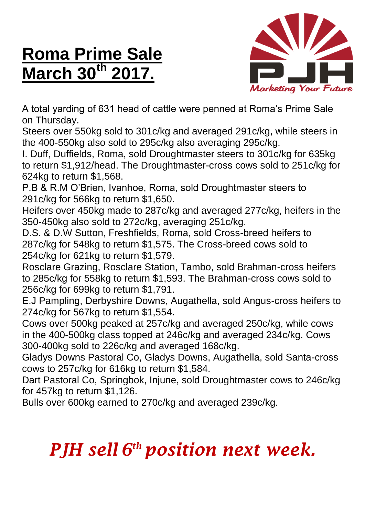## **Roma Prime Sale March 30th 2017.**



A total yarding of 631 head of cattle were penned at Roma's Prime Sale on Thursday.

Steers over 550kg sold to 301c/kg and averaged 291c/kg, while steers in the 400-550kg also sold to 295c/kg also averaging 295c/kg.

I. Duff, Duffields, Roma, sold Droughtmaster steers to 301c/kg for 635kg to return \$1,912/head. The Droughtmaster-cross cows sold to 251c/kg for 624kg to return \$1,568.

P.B & R.M O'Brien, Ivanhoe, Roma, sold Droughtmaster steers to 291c/kg for 566kg to return \$1,650.

Heifers over 450kg made to 287c/kg and averaged 277c/kg, heifers in the 350-450kg also sold to 272c/kg, averaging 251c/kg.

D.S. & D.W Sutton, Freshfields, Roma, sold Cross-breed heifers to 287c/kg for 548kg to return \$1,575. The Cross-breed cows sold to 254c/kg for 621kg to return \$1,579.

Rosclare Grazing, Rosclare Station, Tambo, sold Brahman-cross heifers to 285c/kg for 558kg to return \$1,593. The Brahman-cross cows sold to 256c/kg for 699kg to return \$1,791.

E.J Pampling, Derbyshire Downs, Augathella, sold Angus-cross heifers to 274c/kg for 567kg to return \$1,554.

Cows over 500kg peaked at 257c/kg and averaged 250c/kg, while cows in the 400-500kg class topped at 246c/kg and averaged 234c/kg. Cows 300-400kg sold to 226c/kg and averaged 168c/kg.

Gladys Downs Pastoral Co, Gladys Downs, Augathella, sold Santa-cross cows to 257c/kg for 616kg to return \$1,584.

Dart Pastoral Co, Springbok, Injune, sold Droughtmaster cows to 246c/kg for 457kg to return \$1,126.

Bulls over 600kg earned to 270c/kg and averaged 239c/kg.

## *PJH sell 6 th position next week.*